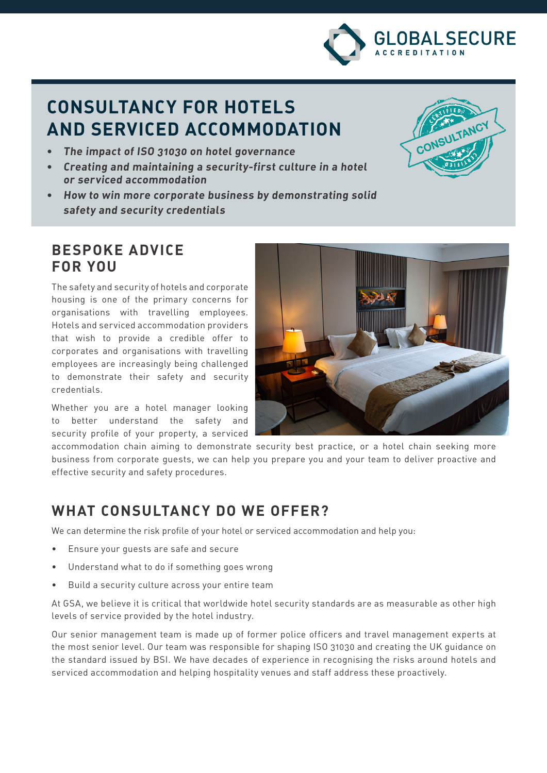

CONSU

LTANC

# **CONSULTANCY FOR HOTELS AND SERVICED ACCOMMODATION**

- **• The impact of ISO 31030 on hotel governance**
- **• Creating and maintaining a security-first culture in a hotel or serviced accommodation**
- **• How to win more corporate business by demonstrating solid safety and security credentials**

## **BESPOKE ADVICE FOR YOU**

The safety and security of hotels and corporate housing is one of the primary concerns for organisations with travelling employees. Hotels and serviced accommodation providers that wish to provide a credible offer to corporates and organisations with travelling employees are increasingly being challenged to demonstrate their safety and security credentials.

Whether you are a hotel manager looking to better understand the safety and security profile of your property, a serviced



accommodation chain aiming to demonstrate security best practice, or a hotel chain seeking more business from corporate guests, we can help you prepare you and your team to deliver proactive and effective security and safety procedures.

## **WHAT CONSULTANCY DO WE OFFER?**

We can determine the risk profile of your hotel or serviced accommodation and help you:

- Ensure your guests are safe and secure
- Understand what to do if something goes wrong
- Build a security culture across your entire team

At GSA, we believe it is critical that worldwide hotel security standards are as measurable as other high levels of service provided by the hotel industry.

Our senior management team is made up of former police officers and travel management experts at the most senior level. Our team was responsible for shaping ISO 31030 and creating the UK guidance on the standard issued by BSI. We have decades of experience in recognising the risks around hotels and serviced accommodation and helping hospitality venues and staff address these proactively.